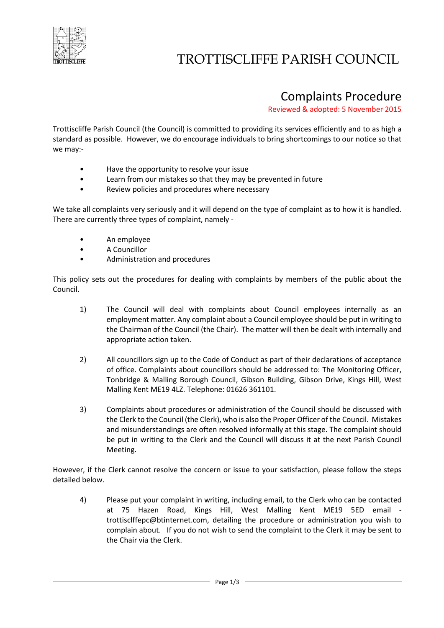

## TROTTISCLIFFE PARISH COUNCIL

## Complaints Procedure

Reviewed & adopted: 5 November 2015

Trottiscliffe Parish Council (the Council) is committed to providing its services efficiently and to as high a standard as possible. However, we do encourage individuals to bring shortcomings to our notice so that we may:-

- Have the opportunity to resolve your issue
- Learn from our mistakes so that they may be prevented in future
- Review policies and procedures where necessary

We take all complaints very seriously and it will depend on the type of complaint as to how it is handled. There are currently three types of complaint, namely -

- An employee
- A Councillor
- Administration and procedures

This policy sets out the procedures for dealing with complaints by members of the public about the Council.

- 1) The Council will deal with complaints about Council employees internally as an employment matter. Any complaint about a Council employee should be put in writing to the Chairman of the Council (the Chair). The matter will then be dealt with internally and appropriate action taken.
- 2) All councillors sign up to the Code of Conduct as part of their declarations of acceptance of office. Complaints about councillors should be addressed to: The Monitoring Officer, Tonbridge & Malling Borough Council, Gibson Building, Gibson Drive, Kings Hill, West Malling Kent ME19 4LZ. Telephone: 01626 361101.
- 3) Complaints about procedures or administration of the Council should be discussed with the Clerk to the Council (the Clerk), who is also the Proper Officer of the Council. Mistakes and misunderstandings are often resolved informally at this stage. The complaint should be put in writing to the Clerk and the Council will discuss it at the next Parish Council Meeting.

However, if the Clerk cannot resolve the concern or issue to your satisfaction, please follow the steps detailed below.

4) Please put your complaint in writing, including email, to the Clerk who can be contacted at 75 Hazen Road, Kings Hill, West Malling Kent ME19 5ED email trottisclffepc@btinternet.com, detailing the procedure or administration you wish to complain about. If you do not wish to send the complaint to the Clerk it may be sent to the Chair via the Clerk.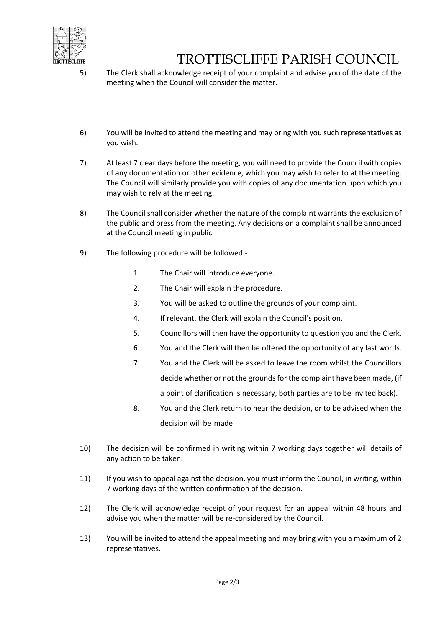

## TROTTISCLIFFE PARISH COUNCIL

- 5) The Clerk shall acknowledge receipt of your complaint and advise you of the date of the meeting when the Council will consider the matter.
- 6) You will be invited to attend the meeting and may bring with you such representatives as you wish.
- 7) At least 7 clear days before the meeting, you will need to provide the Council with copies of any documentation or other evidence, which you may wish to refer to at the meeting. The Council will similarly provide you with copies of any documentation upon which you may wish to rely at the meeting.
- 8) The Council shall consider whether the nature of the complaint warrants the exclusion of the public and press from the meeting. Any decisions on a complaint shall be announced at the Council meeting in public.
- 9) The following procedure will be followed:-
	- 1. The Chair will introduce everyone.
	- 2. The Chair will explain the procedure.
	- 3. You will be asked to outline the grounds of your complaint.
	- 4. If relevant, the Clerk will explain the Council's position.
	- 5. Councillors will then have the opportunity to question you and the Clerk.
	- 6. You and the Clerk will then be offered the opportunity of any last words.
	- 7. You and the Clerk will be asked to leave the room whilst the Councillors decide whether or not the grounds for the complaint have been made, (if a point of clarification is necessary, both parties are to be invited back).
	- 8. You and the Clerk return to hear the decision, or to be advised when the decision will be made.
- 10) The decision will be confirmed in writing within 7 working days together will details of any action to be taken.
- 11) If you wish to appeal against the decision, you must inform the Council, in writing, within 7 working days of the written confirmation of the decision.
- 12) The Clerk will acknowledge receipt of your request for an appeal within 48 hours and advise you when the matter will be re-considered by the Council.
- 13) You will be invited to attend the appeal meeting and may bring with you a maximum of 2 representatives.